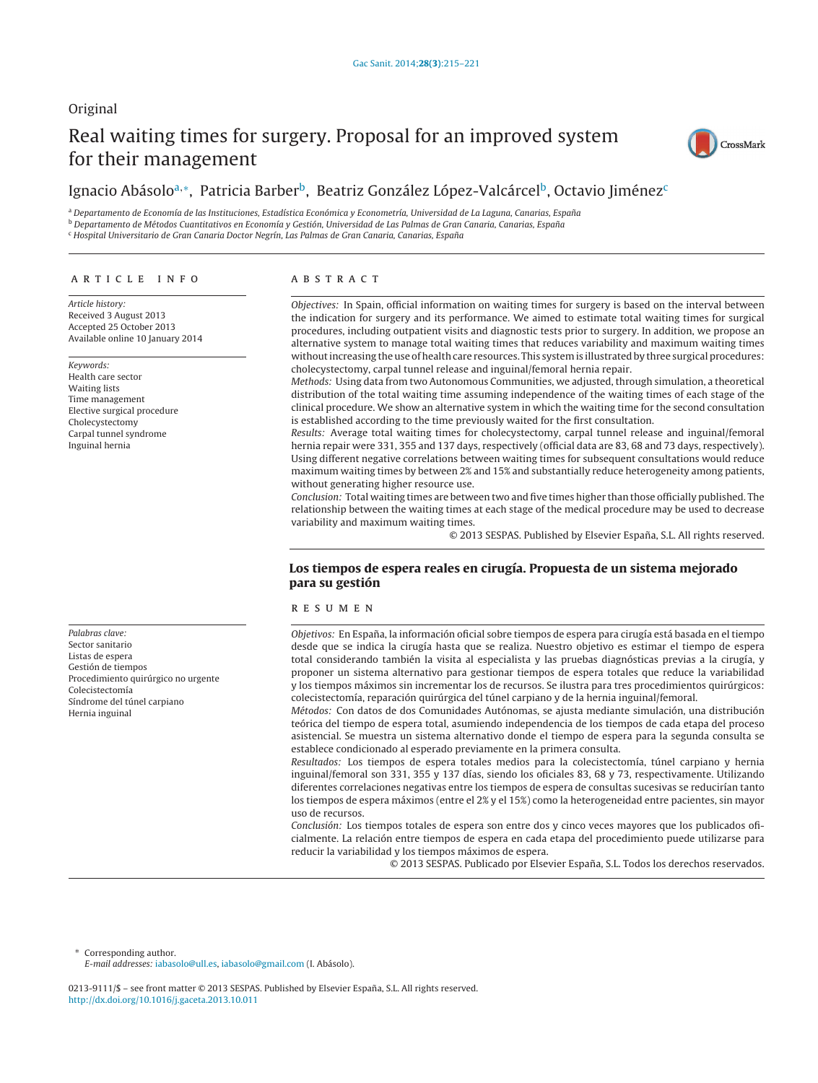# Original Real waiting times for surgery. Proposal for an improved system for their management



# Ignacio Abásoloª,\*, Patricia Barber<sup>b</sup>, Beatriz González López-Valcárcel<sup>b</sup>, Octavio Jiménez<sup>c</sup>

a Departamento de Economía de las Instituciones, Estadística Económica y Econometría, Universidad de La Laguna, Canarias, España <sup>b</sup> Departamento de Métodos Cuantitativos en Economía y Gestión, Universidad de Las Palmas de Gran Canaria, Canarias, España <sup>c</sup> Hospital Universitario de Gran Canaria Doctor Negrín, Las Palmas de Gran Canaria, Canarias, España

# a r t i c l e i n f o

Article history: Received 3 August 2013 Accepted 25 October 2013 Available online 10 January 2014

Keywords: Health care sector Waiting lists Time management Elective surgical procedure Cholecystectomy Carpal tunnel syndrome Inguinal hernia

Palabras clave: Sector sanitario Listas de espera Gestión de tiempos Procedimiento quirúrgico no urgente Colecistectomía Síndrome del túnel carpiano Hernia inguinal

# A B S T R A C T

Objectives: In Spain, official information on waiting times for surgery is based on the interval between the indication for surgery and its performance. We aimed to estimate total waiting times for surgical procedures, including outpatient visits and diagnostic tests prior to surgery. In addition, we propose an alternative system to manage total waiting times that reduces variability and maximum waiting times without increasing the use of health care resources. This system is illustrated by three surgical procedures: cholecystectomy, carpal tunnel release and inguinal/femoral hernia repair.

Methods: Using data from two Autonomous Communities, we adjusted, through simulation, a theoretical distribution of the total waiting time assuming independence of the waiting times of each stage of the clinical procedure. We show an alternative system in which the waiting time for the second consultation is established according to the time previously waited for the first consultation.

Results: Average total waiting times for cholecystectomy, carpal tunnel release and inguinal/femoral hernia repair were 331, 355 and 137 days, respectively (official data are 83, 68 and 73 days, respectively). Using different negative correlations between waiting times for subsequent consultations would reduce maximum waiting times by between 2% and 15% and substantially reduce heterogeneity among patients, without generating higher resource use.

Conclusion: Total waiting times are between two and five times higher than those officially published. The relationship between the waiting times at each stage of the medical procedure may be used to decrease variability and maximum waiting times.

© 2013 SESPAS. Published by Elsevier España, S.L. All rights reserved.

# Los tiempos de espera reales en cirugía. Propuesta de un sistema mejorado para su gestión

# r e s u m e n

Objetivos: En España, la información oficial sobre tiempos de espera para cirugía está basada en el tiempo desde que se indica la cirugía hasta que se realiza. Nuestro objetivo es estimar el tiempo de espera total considerando también la visita al especialista y las pruebas diagnósticas previas a la cirugía, y proponer un sistema alternativo para gestionar tiempos de espera totales que reduce la variabilidad y los tiempos máximos sin incrementar los de recursos. Se ilustra para tres procedimientos quirúrgicos: colecistectomía, reparación quirúrgica del túnel carpiano y de la hernia inguinal/femoral.

Métodos: Con datos de dos Comunidades Autónomas, se ajusta mediante simulación, una distribución teórica del tiempo de espera total, asumiendo independencia de los tiempos de cada etapa del proceso asistencial. Se muestra un sistema alternativo donde el tiempo de espera para la segunda consulta se establece condicionado al esperado previamente en la primera consulta.

Resultados: Los tiempos de espera totales medios para la colecistectomía, túnel carpiano y hernia inguinal/femoral son 331, 355 y 137 días, siendo los oficiales 83, 68 y 73, respectivamente. Utilizando diferentes correlaciones negativas entre los tiempos de espera de consultas sucesivas se reducirían tanto los tiempos de espera máximos (entre el 2% y el 15%) como la heterogeneidad entre pacientes, sin mayor uso de recursos.

Conclusión: Los tiempos totales de espera son entre dos y cinco veces mayores que los publicados oficialmente. La relación entre tiempos de espera en cada etapa del procedimiento puede utilizarse para reducir la variabilidad y los tiempos máximos de espera.

© 2013 SESPAS. Publicado por Elsevier España, S.L. Todos los derechos reservados.

∗ Corresponding author.

E-mail addresses: [iabasolo@ull.es,](mailto:iabasolo@ull.es) [iabasolo@gmail.com](mailto:iabasolo@gmail.com) (I. Abásolo).

0213-9111/\$ – see front matter © 2013 SESPAS. Published by Elsevier España, S.L. All rights reserved. [http://dx.doi.org/10.1016/j.gaceta.2013.10.011](dx.doi.org/10.1016/j.gaceta.2013.10.011)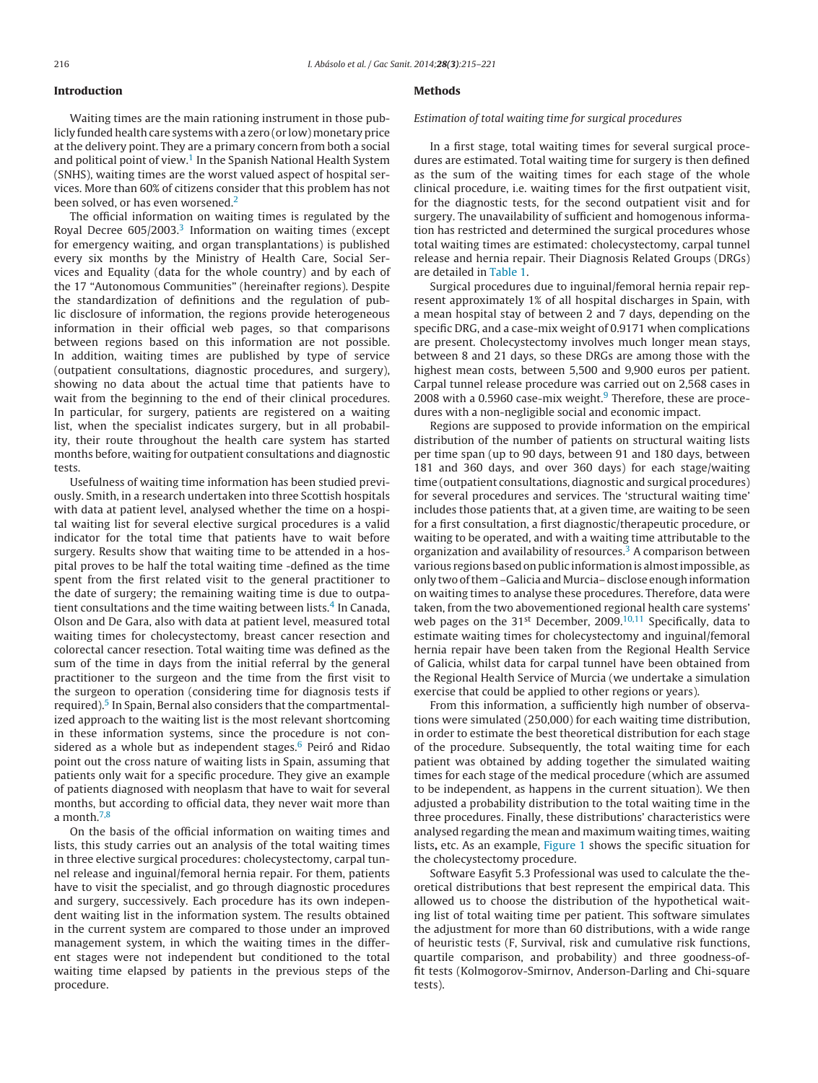# Introduction

Waiting times are the main rationing instrument in those publicly funded health care systems with a zero (or low) monetary price at the delivery point. They are a primary concern from both a social and political point of view. $^{\rm 1}$  [In](#page-6-0) the Spanish National Health System (SNHS), waiting times are the worst valued aspect of hospital services. More than 60% of citizens consider that this problem has not been solved, or has even worsened.<sup>[2](#page-6-0)</sup>

The official information on waiting times is regulated by the Royal Decree 605/200[3](#page-6-0).<sup>3</sup> Information on waiting times (except for emergency waiting, and organ transplantations) is published every six months by the Ministry of Health Care, Social Services and Equality (data for the whole country) and by each of the 17 "Autonomous Communities" (hereinafter regions). Despite the standardization of definitions and the regulation of public disclosure of information, the regions provide heterogeneous information in their official web pages, so that comparisons between regions based on this information are not possible. In addition, waiting times are published by type of service (outpatient consultations, diagnostic procedures, and surgery), showing no data about the actual time that patients have to wait from the beginning to the end of their clinical procedures. In particular, for surgery, patients are registered on a waiting list, when the specialist indicates surgery, but in all probability, their route throughout the health care system has started months before, waiting for outpatient consultations and diagnostic tests.

Usefulness of waiting time information has been studied previously. Smith, in a research undertaken into three Scottish hospitals with data at patient level, analysed whether the time on a hospital waiting list for several elective surgical procedures is a valid indicator for the total time that patients have to wait before surgery. Results show that waiting time to be attended in a hospital proves to be half the total waiting time -defined as the time spent from the first related visit to the general practitioner to the date of surgery; the remaining waiting time is due to outpa-tient consultations and the time waiting between lists.<sup>[4](#page-6-0)</sup> In Canada, Olson and De Gara, also with data at patient level, measured total waiting times for cholecystectomy, breast cancer resection and colorectal cancer resection. Total waiting time was defined as the sum of the time in days from the initial referral by the general practitioner to the surgeon and the time from the first visit to the surgeon to operation (considering time for diagnosis tests if required).<sup>5</sup> [In](#page-6-0) Spain, Bernal also considers that the compartmentalized approach to the waiting list is the most relevant shortcoming in these information systems, since the procedure is not con-sidered as a whole but as independent stages.<sup>[6](#page-6-0)</sup> Peiró and Ridao point out the cross nature of waiting lists in Spain, assuming that patients only wait for a specific procedure. They give an example of patients diagnosed with neoplasm that have to wait for several months, but according to official data, they never wait more than a month.[7,8](#page-6-0)

On the basis of the official information on waiting times and lists, this study carries out an analysis of the total waiting times in three elective surgical procedures: cholecystectomy, carpal tunnel release and inguinal/femoral hernia repair. For them, patients have to visit the specialist, and go through diagnostic procedures and surgery, successively. Each procedure has its own independent waiting list in the information system. The results obtained in the current system are compared to those under an improved management system, in which the waiting times in the different stages were not independent but conditioned to the total waiting time elapsed by patients in the previous steps of the procedure.

#### **Methods**

#### Estimation of total waiting time for surgical procedures

In a first stage, total waiting times for several surgical procedures are estimated. Total waiting time for surgery is then defined as the sum of the waiting times for each stage of the whole clinical procedure, i.e. waiting times for the first outpatient visit, for the diagnostic tests, for the second outpatient visit and for surgery. The unavailability of sufficient and homogenous information has restricted and determined the surgical procedures whose total waiting times are estimated: cholecystectomy, carpal tunnel release and hernia repair. Their Diagnosis Related Groups (DRGs) are detailed in [Table](#page-2-0) 1.

Surgical procedures due to inguinal/femoral hernia repair represent approximately 1% of all hospital discharges in Spain, with a mean hospital stay of between 2 and 7 days, depending on the specific DRG, and a case-mix weight of 0.9171 when complications are present. Cholecystectomy involves much longer mean stays, between 8 and 21 days, so these DRGs are among those with the highest mean costs, between 5,500 and 9,900 euros per patient. Carpal tunnel release procedure was carried out on 2,568 cases in 2008 with a 0.5[9](#page-6-0)60 case-mix weight. $9$  Therefore, these are procedures with a non-negligible social and economic impact.

Regions are supposed to provide information on the empirical distribution of the number of patients on structural waiting lists per time span (up to 90 days, between 91 and 180 days, between 181 and 360 days, and over 360 days) for each stage/waiting time (outpatient consultations, diagnostic and surgical procedures) for several procedures and services. The 'structural waiting time' includes those patients that, at a given time, are waiting to be seen for a first consultation, a first diagnostic/therapeutic procedure, or waiting to be operated, and with a waiting time attributable to the organization and availability of resources.<sup>3</sup> [A](#page-6-0) comparison between various regions based on public information is almost impossible, as only two of them -Galicia and Murcia- disclose enough information on waiting times to analyse these procedures. Therefore, data were taken, from the two abovementioned regional health care systems' web pages on the  $31<sup>st</sup>$  December, 2009.<sup>[10,11](#page-6-0)</sup> Specifically, data to estimate waiting times for cholecystectomy and inguinal/femoral hernia repair have been taken from the Regional Health Service of Galicia, whilst data for carpal tunnel have been obtained from the Regional Health Service of Murcia (we undertake a simulation exercise that could be applied to other regions or years).

From this information, a sufficiently high number of observations were simulated (250,000) for each waiting time distribution, in order to estimate the best theoretical distribution for each stage of the procedure. Subsequently, the total waiting time for each patient was obtained by adding together the simulated waiting times for each stage of the medical procedure (which are assumed to be independent, as happens in the current situation). We then adjusted a probability distribution to the total waiting time in the three procedures. Finally, these distributions' characteristics were analysed regarding the mean and maximum waiting times, waiting lists, etc. As an example, [Figure](#page-2-0) 1 shows the specific situation for the cholecystectomy procedure.

Software Easyfit 5.3 Professional was used to calculate the theoretical distributions that best represent the empirical data. This allowed us to choose the distribution of the hypothetical waiting list of total waiting time per patient. This software simulates the adjustment for more than 60 distributions, with a wide range of heuristic tests (F, Survival, risk and cumulative risk functions, quartile comparison, and probability) and three goodness-offit tests (Kolmogorov-Smirnov, Anderson-Darling and Chi-square tests).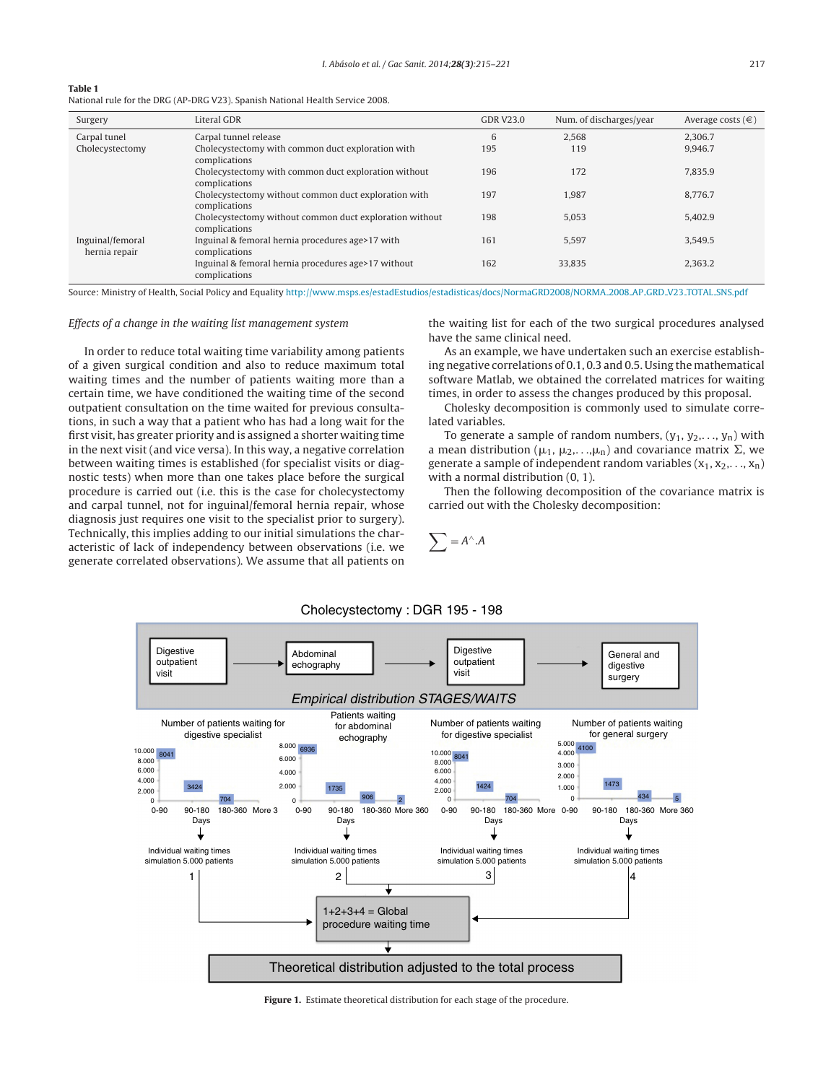#### <span id="page-2-0"></span>Table 1

National rule for the DRG (AP-DRG V23). Spanish National Health Service 2008.

| Surgery                           | Literal GDR                                                              | <b>GDR V23.0</b> | Num. of discharges/year | Average costs $(\in)$ |
|-----------------------------------|--------------------------------------------------------------------------|------------------|-------------------------|-----------------------|
| Carpal tunel                      | Carpal tunnel release                                                    | 6                | 2.568                   | 2.306.7               |
| Cholecystectomy                   | Cholecystectomy with common duct exploration with<br>complications       | 195              | 119                     | 9,946.7               |
|                                   | Cholecystectomy with common duct exploration without<br>complications    | 196              | 172                     | 7.835.9               |
|                                   | Cholecystectomy without common duct exploration with<br>complications    | 197              | 1,987                   | 8.776.7               |
|                                   | Cholecystectomy without common duct exploration without<br>complications | 198              | 5,053                   | 5.402.9               |
| Inguinal/femoral<br>hernia repair | Inguinal & femoral hernia procedures age>17 with<br>complications        | 161              | 5.597                   | 3.549.5               |
|                                   | Inguinal & femoral hernia procedures age>17 without<br>complications     | 162              | 33,835                  | 2.363.2               |

Source: Ministry of Health, Social Policy and Equality [http://www.msps.es/estadEstudios/estadisticas/docs/NormaGRD2008/NORMA](http://www.msps.es/estadEstudios/estadisticas/docs/NormaGRD2008/NORMA_2008_AP_GRD_V23_TOTAL_SNS.pdf) 2008 AP GRD V23 TOTAL SNS.pdf

#### Effects of a change in the waiting list management system

In order to reduce total waiting time variability among patients of a given surgical condition and also to reduce maximum total waiting times and the number of patients waiting more than a certain time, we have conditioned the waiting time of the second outpatient consultation on the time waited for previous consultations, in such a way that a patient who has had a long wait for the first visit, has greater priority and is assigned a shorter waiting time in the next visit (and vice versa). In this way, a negative correlation between waiting times is established (for specialist visits or diagnostic tests) when more than one takes place before the surgical procedure is carried out (i.e. this is the case for cholecystectomy and carpal tunnel, not for inguinal/femoral hernia repair, whose diagnosis just requires one visit to the specialist prior to surgery). Technically, this implies adding to our initial simulations the characteristic of lack of independency between observations (i.e. we generate correlated observations). We assume that all patients on the waiting list for each of the two surgical procedures analysed have the same clinical need.

As an example, we have undertaken such an exercise establishing negative correlations of 0.1, 0.3 and 0.5. Using the mathematical software Matlab, we obtained the correlated matrices for waiting times, in order to assess the changes produced by this proposal.

Cholesky decomposition is commonly used to simulate correlated variables.

To generate a sample of random numbers,  $(y_1, y_2, \ldots, y_n)$  with a mean distribution ( $\mu_1$ ,  $\mu_2$ , ..., $\mu_n$ ) and covariance matrix  $\Sigma$ , we generate a sample of independent random variables  $(x_1, x_2, \ldots, x_n)$ with a normal distribution (0, 1).

Then the following decomposition of the covariance matrix is carried out with the Cholesky decomposition:

$$
\sum = A^\wedge.A
$$



Figure 1. Estimate theoretical distribution for each stage of the procedure.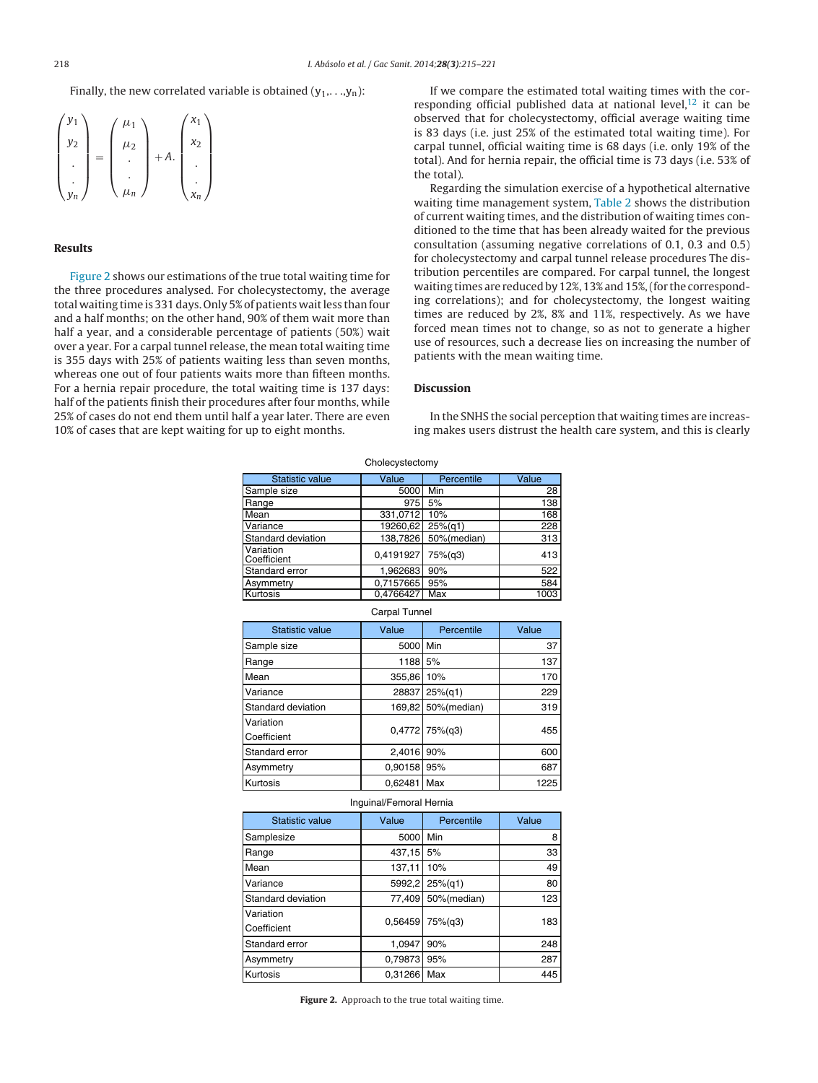Finally, the new correlated variable is obtained  $(y_1,...,y_n)$ :

$$
\begin{pmatrix} y_1 \\ y_2 \\ \vdots \\ y_n \end{pmatrix} = \begin{pmatrix} \mu_1 \\ \mu_2 \\ \vdots \\ \mu_n \end{pmatrix} + A. \begin{pmatrix} x_1 \\ x_2 \\ \vdots \\ x_n \end{pmatrix}
$$

# Results

Figure 2 shows our estimations of the true total waiting time for the three procedures analysed. For cholecystectomy, the average total waiting time is 331 days. Only 5% of patients wait less than four and a half months; on the other hand, 90% of them wait more than half a year, and a considerable percentage of patients (50%) wait over a year. For a carpal tunnel release, the mean total waiting time is 355 days with 25% of patients waiting less than seven months, whereas one out of four patients waits more than fifteen months. For a hernia repair procedure, the total waiting time is 137 days: half of the patients finish their procedures after four months, while 25% of cases do not end them until half a year later. There are even 10% of cases that are kept waiting for up to eight months.

If we compare the estimated total waiting times with the corresponding official published data at national level, $12$  it can be observed that for cholecystectomy, official average waiting time is 83 days (i.e. just 25% of the estimated total waiting time). For carpal tunnel, official waiting time is 68 days (i.e. only 19% of the total). And for hernia repair, the official time is 73 days (i.e. 53% of the total).

Regarding the simulation exercise of a hypothetical alternative waiting time management system, [Table](#page-5-0) 2 shows the distribution of current waiting times, and the distribution of waiting times conditioned to the time that has been already waited for the previous consultation (assuming negative correlations of 0.1, 0.3 and 0.5) for cholecystectomy and carpal tunnel release procedures The distribution percentiles are compared. For carpal tunnel, the longest waiting times are reduced by 12%, 13% and 15%, (for the corresponding correlations); and for cholecystectomy, the longest waiting times are reduced by 2%, 8% and 11%, respectively. As we have forced mean times not to change, so as not to generate a higher use of resources, such a decrease lies on increasing the number of patients with the mean waiting time.

# Discussion

In the SNHS the social perception that waiting times are increasing makes users distrust the health care system, and this is clearly

| <b>Statistic value</b>   | Value     | Percentile  | Value |
|--------------------------|-----------|-------------|-------|
| Sample size              | 5000      | Min         | 28    |
| Range                    | 975       | 5%          | 138   |
| Mean                     | 331,0712  | 10%         | 168   |
| Variance                 | 19260,62  | $25\%$ (q1) | 228   |
| Standard deviation       | 138,7826  | 50%(median) | 313   |
| Variation<br>Coefficient | 0,4191927 | 75%(q3)     | 413   |
| Standard error           | 1,962683  | 90%         | 522   |
| Asymmetry                | 0,7157665 | 95%         | 584   |
| Kurtosis                 | 0,4766427 | Max         | 1003  |
| Carpal Tunnel            |           |             |       |
| Statistic value          | Value     | Percentile  | Value |
| Sample size              | 5000      | Min         | 37    |
| Range                    | 1188      | 5%          | 137   |
| Mean                     | 355,86    | 10%         | 170   |
| Variance                 | 28837     | $25\%(q1)$  | 229   |
|                          |           |             |       |
| Standard deviation       | 169,82    | 50%(median) | 319   |
| Variation                |           |             |       |
| Coefficient              | 0,4772    | 75%(q3)     | 455   |
| Standard error           | 2,4016    | 90%         | 600   |
| Asymmetry                | 0,90158   | 95%         | 687   |
| Kurtosis                 | 0,62481   | Max         | 1225  |

Cholecystectomy

| <b>Statistic value</b>   | Value   | Percentile  | Value |  |
|--------------------------|---------|-------------|-------|--|
| Samplesize               | 5000    | Min         | 8     |  |
| Range                    | 437,15  | 5%          | 33    |  |
| Mean                     | 137,11  | 10%         | 49    |  |
| Variance                 | 5992,2  | $25\%(q1)$  | 80    |  |
| Standard deviation       | 77,409  | 50%(median) | 123   |  |
| Variation<br>Coefficient | 0.56459 | 75%(q3)     | 183   |  |
| Standard error           | 1,0947  | 90%         | 248   |  |
| Asymmetry                | 0,79873 | 95%         | 287   |  |
| Kurtosis                 | 0,31266 | Max         | 445   |  |

Figure 2. Approach to the true total waiting time.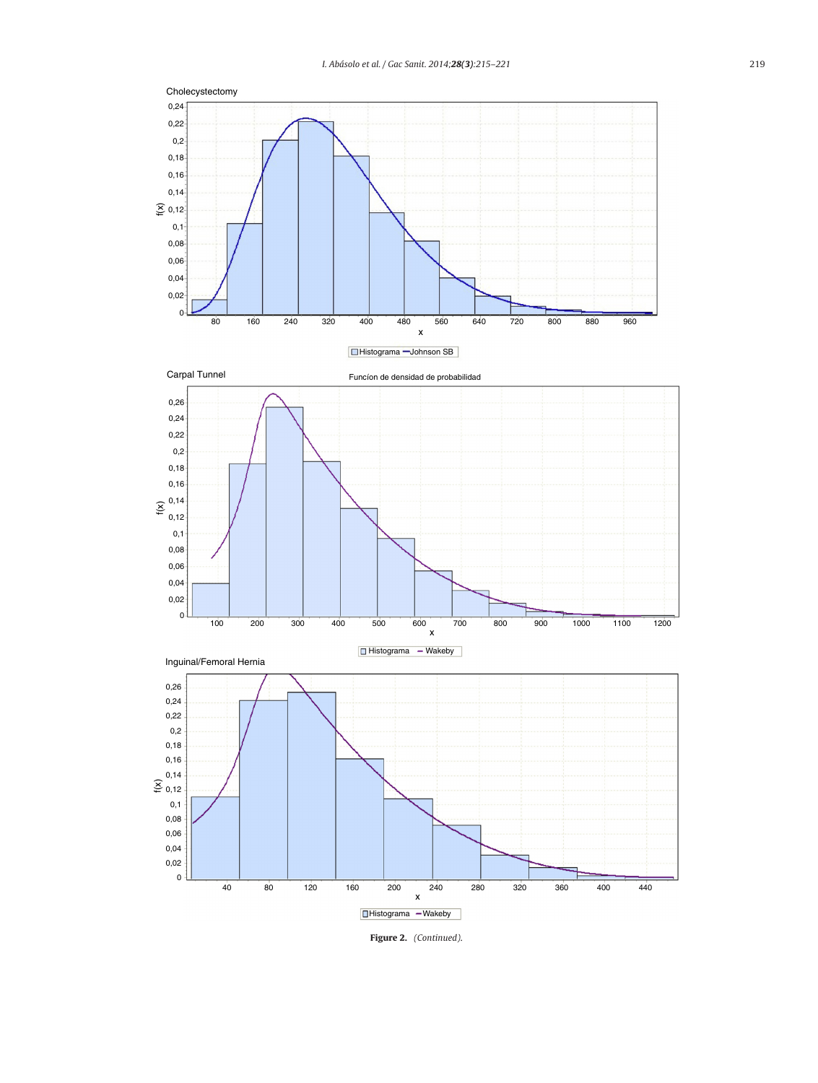

Figure 2. (Continued).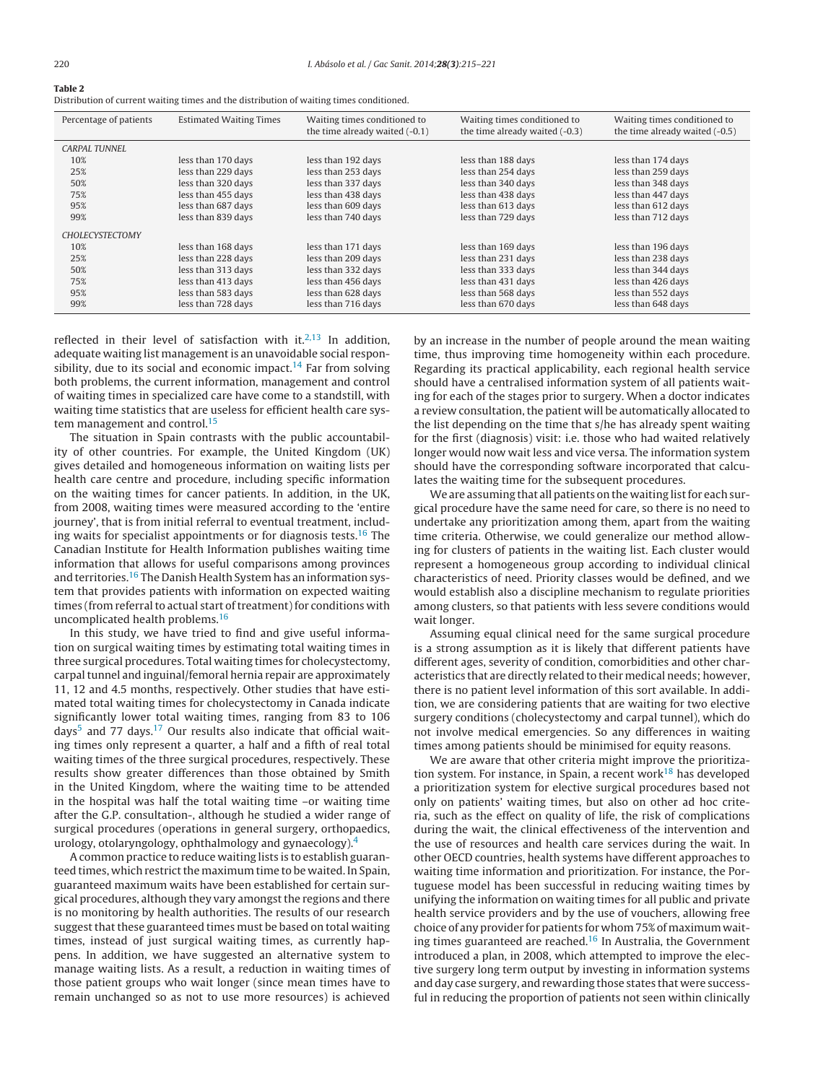<span id="page-5-0"></span>

| Table 2                                                                                  |
|------------------------------------------------------------------------------------------|
| Distribution of current waiting times and the distribution of waiting times conditioned. |

| Percentage of patients | <b>Estimated Waiting Times</b> | Waiting times conditioned to<br>the time already waited $(-0.1)$ | Waiting times conditioned to<br>the time already waited (-0.3) | Waiting times conditioned to<br>the time already waited $(-0.5)$ |
|------------------------|--------------------------------|------------------------------------------------------------------|----------------------------------------------------------------|------------------------------------------------------------------|
| <b>CARPAL TUNNEL</b>   |                                |                                                                  |                                                                |                                                                  |
| 10%                    | less than 170 days             | less than 192 days                                               | less than 188 days                                             | less than 174 days                                               |
| 25%                    | less than 229 days             | less than 253 days                                               | less than 254 days                                             | less than 259 days                                               |
| 50%                    | less than 320 days             | less than 337 days                                               | less than 340 days                                             | less than 348 days                                               |
| 75%                    | less than 455 days             | less than 438 days                                               | less than 438 days                                             | less than 447 days                                               |
| 95%                    | less than 687 days             | less than 609 days                                               | less than 613 days                                             | less than 612 days                                               |
| 99%                    | less than 839 days             | less than 740 days                                               | less than 729 days                                             | less than 712 days                                               |
| <b>CHOLECYSTECTOMY</b> |                                |                                                                  |                                                                |                                                                  |
| 10%                    | less than 168 days             | less than 171 days                                               | less than 169 days                                             | less than 196 days                                               |
| 25%                    | less than 228 days             | less than 209 days                                               | less than 231 days                                             | less than 238 days                                               |
| 50%                    | less than 313 days             | less than 332 days                                               | less than 333 days                                             | less than 344 days                                               |
| 75%                    | less than 413 days             | less than 456 days                                               | less than 431 days                                             | less than 426 days                                               |
| 95%                    | less than 583 days             | less than 628 days                                               | less than 568 days<br>less than 552 days                       |                                                                  |
| 99%                    | less than 728 days             | less than 716 days                                               | less than 670 days                                             | less than 648 days                                               |

reflected in their level of satisfaction with it. $2,13$  In addition, adequate waiting list managementis an unavoidable social respon-sibility, due to its social and economic impact.<sup>[14](#page-6-0)</sup> Far from solving both problems, the current information, management and control of waiting times in specialized care have come to a standstill, with waiting time statistics that are useless for efficient health care sys-tem management and control.<sup>[15](#page-6-0)</sup>

The situation in Spain contrasts with the public accountability of other countries. For example, the United Kingdom (UK) gives detailed and homogeneous information on waiting lists per health care centre and procedure, including specific information on the waiting times for cancer patients. In addition, in the UK, from 2008, waiting times were measured according to the 'entire journey', that is from initial referral to eventual treatment, includ-ing waits for specialist appointments or for diagnosis tests.<sup>[16](#page-6-0)</sup> The Canadian Institute for Health Information publishes waiting time information that allows for useful comparisons among provinces and territories.<sup>[16](#page-6-0)</sup> The Danish Health System has an information system that provides patients with information on expected waiting times (from referral to actual start of treatment) for conditions with uncomplicated health problems.[16](#page-6-0)

In this study, we have tried to find and give useful information on surgical waiting times by estimating total waiting times in three surgical procedures. Total waiting times for cholecystectomy, carpal tunnel and inguinal/femoral hernia repair are approximately 11, 12 and 4.5 months, respectively. Other studies that have estimated total waiting times for cholecystectomy in Canada indicate significantly lower total waiting times, ranging from 83 to 106 days<sup>[5](#page-6-0)</sup> and 77 days.<sup>[17](#page-6-0)</sup> Our results also indicate that official waiting times only represent a quarter, a half and a fifth of real total waiting times of the three surgical procedures, respectively. These results show greater differences than those obtained by Smith in the United Kingdom, where the waiting time to be attended in the hospital was half the total waiting time –or waiting time after the G.P. consultation-, although he studied a wider range of surgical procedures (operations in general surgery, orthopaedics, urology, otolaryngology, ophthalmology and gynaecology).[4](#page-6-0)

A common practice to reduce waiting lists is to establish guaranteed times, which restrict the maximum time to be waited. In Spain, guaranteed maximum waits have been established for certain surgical procedures, although they vary amongstthe regions and there is no monitoring by health authorities. The results of our research suggest that these guaranteed times must be based on total waiting times, instead of just surgical waiting times, as currently happens. In addition, we have suggested an alternative system to manage waiting lists. As a result, a reduction in waiting times of those patient groups who wait longer (since mean times have to remain unchanged so as not to use more resources) is achieved

by an increase in the number of people around the mean waiting time, thus improving time homogeneity within each procedure. Regarding its practical applicability, each regional health service should have a centralised information system of all patients waiting for each of the stages prior to surgery. When a doctor indicates a review consultation, the patient will be automatically allocated to the list depending on the time that s/he has already spent waiting for the first (diagnosis) visit: i.e. those who had waited relatively longer would now wait less and vice versa. The information system should have the corresponding software incorporated that calculates the waiting time for the subsequent procedures.

We are assuming that all patients on the waiting list for each surgical procedure have the same need for care, so there is no need to undertake any prioritization among them, apart from the waiting time criteria. Otherwise, we could generalize our method allowing for clusters of patients in the waiting list. Each cluster would represent a homogeneous group according to individual clinical characteristics of need. Priority classes would be defined, and we would establish also a discipline mechanism to regulate priorities among clusters, so that patients with less severe conditions would wait longer.

Assuming equal clinical need for the same surgical procedure is a strong assumption as it is likely that different patients have different ages, severity of condition, comorbidities and other characteristics that are directly related to their medical needs; however, there is no patient level information of this sort available. In addition, we are considering patients that are waiting for two elective surgery conditions (cholecystectomy and carpal tunnel), which do not involve medical emergencies. So any differences in waiting times among patients should be minimised for equity reasons.

We are aware that other criteria might improve the prioritiza-tion system. For instance, in Spain, a recent work<sup>[18](#page-6-0)</sup> has developed a prioritization system for elective surgical procedures based not only on patients' waiting times, but also on other ad hoc criteria, such as the effect on quality of life, the risk of complications during the wait, the clinical effectiveness of the intervention and the use of resources and health care services during the wait. In other OECD countries, health systems have different approaches to waiting time information and prioritization. For instance, the Portuguese model has been successful in reducing waiting times by unifying the information on waiting times for all public and private health service providers and by the use of vouchers, allowing free choice of any provider for patients for whom 75% of maximum wait-ing times guaranteed are reached.<sup>[16](#page-6-0)</sup> In Australia, the Government introduced a plan, in 2008, which attempted to improve the elective surgery long term output by investing in information systems and day case surgery, and rewarding those states that were successful in reducing the proportion of patients not seen within clinically